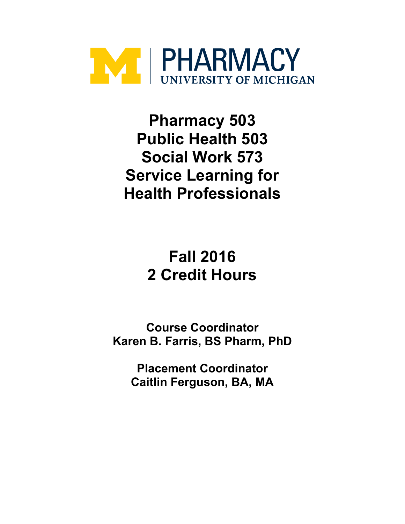

**Pharmacy 503 Public Health 503 Social Work 573 Service Learning for Health Professionals**

> **Fall 2016 2 Credit Hours**

**Course Coordinator Karen B. Farris, BS Pharm, PhD**

**Placement Coordinator Caitlin Ferguson, BA, MA**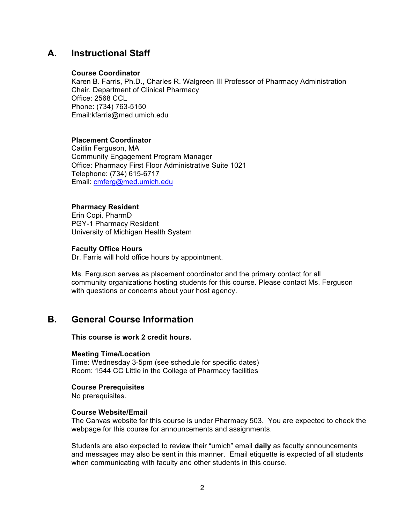### **A. Instructional Staff**

#### **Course Coordinator**

Karen B. Farris, Ph.D., Charles R. Walgreen III Professor of Pharmacy Administration Chair, Department of Clinical Pharmacy Office: 2568 CCL Phone: (734) 763-5150 Email:kfarris@med.umich.edu

### **Placement Coordinator**

Caitlin Ferguson, MA Community Engagement Program Manager Office: Pharmacy First Floor Administrative Suite 1021 Telephone: (734) 615-6717 Email: cmferg@med.umich.edu

### **Pharmacy Resident**

Erin Copi, PharmD PGY-1 Pharmacy Resident University of Michigan Health System

### **Faculty Office Hours**

Dr. Farris will hold office hours by appointment.

Ms. Ferguson serves as placement coordinator and the primary contact for all community organizations hosting students for this course. Please contact Ms. Ferguson with questions or concerns about your host agency.

### **B. General Course Information**

**This course is work 2 credit hours.** 

#### **Meeting Time/Location**

Time: Wednesday 3-5pm (see schedule for specific dates) Room: 1544 CC Little in the College of Pharmacy facilities

#### **Course Prerequisites**

No prerequisites.

#### **Course Website/Email**

The Canvas website for this course is under Pharmacy 503. You are expected to check the webpage for this course for announcements and assignments.

Students are also expected to review their "umich" email **daily** as faculty announcements and messages may also be sent in this manner. Email etiquette is expected of all students when communicating with faculty and other students in this course.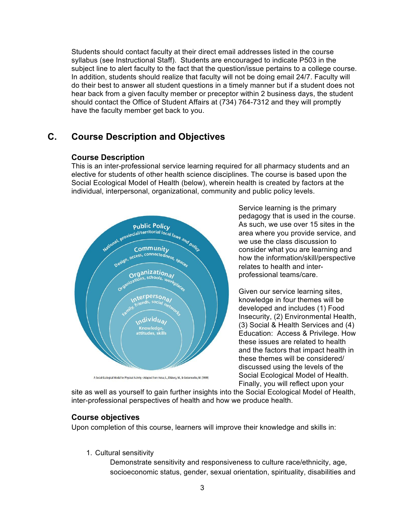Students should contact faculty at their direct email addresses listed in the course syllabus (see Instructional Staff). Students are encouraged to indicate P503 in the subject line to alert faculty to the fact that the question/issue pertains to a college course. In addition, students should realize that faculty will not be doing email 24/7. Faculty will do their best to answer all student questions in a timely manner but if a student does not hear back from a given faculty member or preceptor within 2 business days, the student should contact the Office of Student Affairs at (734) 764-7312 and they will promptly have the faculty member get back to you.

## **C. Course Description and Objectives**

### **Course Description**

This is an inter-professional service learning required for all pharmacy students and an elective for students of other health science disciplines. The course is based upon the Social Ecological Model of Health (below), wherein health is created by factors at the individual, interpersonal, organizational, community and public policy levels.



A Social-Ecological Model for Physical Activity - Adapted from Heise, L., Ellsberg, M., & Gottemoeller, M. (1999)

Service learning is the primary pedagogy that is used in the course. As such, we use over 15 sites in the area where you provide service, and we use the class discussion to consider what you are learning and how the information/skill/perspective relates to health and interprofessional teams/care.

Given our service learning sites, knowledge in four themes will be developed and includes (1) Food Insecurity, (2) Environmental Health, (3) Social & Health Services and (4) Education: Access & Privilege. How these issues are related to health and the factors that impact health in these themes will be considered/ discussed using the levels of the Social Ecological Model of Health. Finally, you will reflect upon your

site as well as yourself to gain further insights into the Social Ecological Model of Health, inter-professional perspectives of health and how we produce health.

### **Course objectives**

Upon completion of this course, learners will improve their knowledge and skills in:

1. Cultural sensitivity

Demonstrate sensitivity and responsiveness to culture race/ethnicity, age, socioeconomic status, gender, sexual orientation, spirituality, disabilities and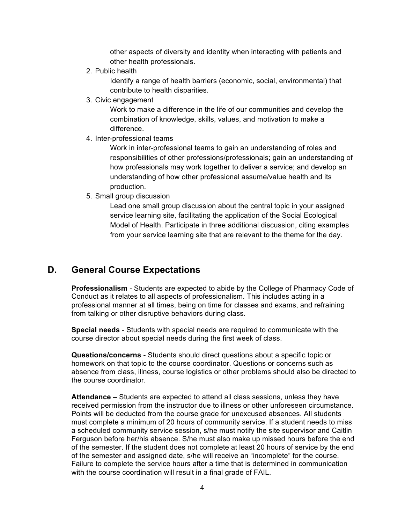other aspects of diversity and identity when interacting with patients and other health professionals.

2. Public health

Identify a range of health barriers (economic, social, environmental) that contribute to health disparities.

3. Civic engagement

Work to make a difference in the life of our communities and develop the combination of knowledge, skills, values, and motivation to make a difference.

4. Inter-professional teams

Work in inter-professional teams to gain an understanding of roles and responsibilities of other professions/professionals; gain an understanding of how professionals may work together to deliver a service; and develop an understanding of how other professional assume/value health and its production.

5. Small group discussion

Lead one small group discussion about the central topic in your assigned service learning site, facilitating the application of the Social Ecological Model of Health. Participate in three additional discussion, citing examples from your service learning site that are relevant to the theme for the day.

## **D. General Course Expectations**

**Professionalism** - Students are expected to abide by the College of Pharmacy Code of Conduct as it relates to all aspects of professionalism. This includes acting in a professional manner at all times, being on time for classes and exams, and refraining from talking or other disruptive behaviors during class.

**Special needs** - Students with special needs are required to communicate with the course director about special needs during the first week of class.

**Questions/concerns** - Students should direct questions about a specific topic or homework on that topic to the course coordinator. Questions or concerns such as absence from class, illness, course logistics or other problems should also be directed to the course coordinator.

**Attendance –** Students are expected to attend all class sessions, unless they have received permission from the instructor due to illness or other unforeseen circumstance. Points will be deducted from the course grade for unexcused absences. All students must complete a minimum of 20 hours of community service. If a student needs to miss a scheduled community service session, s/he must notify the site supervisor and Caitlin Ferguson before her/his absence. S/he must also make up missed hours before the end of the semester. If the student does not complete at least 20 hours of service by the end of the semester and assigned date, s/he will receive an "incomplete" for the course. Failure to complete the service hours after a time that is determined in communication with the course coordination will result in a final grade of FAIL.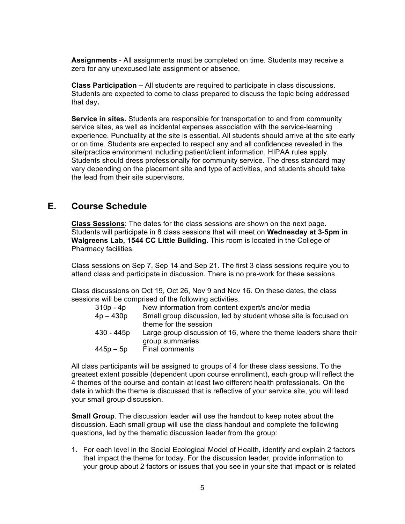**Assignments** - All assignments must be completed on time. Students may receive a zero for any unexcused late assignment or absence.

**Class Participation –** All students are required to participate in class discussions. Students are expected to come to class prepared to discuss the topic being addressed that day**.** 

**Service in sites.** Students are responsible for transportation to and from community service sites, as well as incidental expenses association with the service-learning experience. Punctuality at the site is essential. All students should arrive at the site early or on time. Students are expected to respect any and all confidences revealed in the site/practice environment including patient/client information. HIPAA rules apply. Students should dress professionally for community service. The dress standard may vary depending on the placement site and type of activities, and students should take the lead from their site supervisors.

### **E. Course Schedule**

**Class Sessions**: The dates for the class sessions are shown on the next page. Students will participate in 8 class sessions that will meet on **Wednesday at 3-5pm in Walgreens Lab, 1544 CC Little Building**. This room is located in the College of Pharmacy facilities.

Class sessions on Sep 7, Sep 14 and Sep 21. The first 3 class sessions require you to attend class and participate in discussion. There is no pre-work for these sessions.

Class discussions on Oct 19, Oct 26, Nov 9 and Nov 16. On these dates, the class sessions will be comprised of the following activities.

| 310p - 4p   | New information from content expert/s and/or media                |
|-------------|-------------------------------------------------------------------|
| $4p - 430p$ | Small group discussion, led by student whose site is focused on   |
|             | theme for the session                                             |
| 430 - 445p  | Large group discussion of 16, where the theme leaders share their |
|             | group summaries                                                   |
| 445p – 5p   | Final comments                                                    |

All class participants will be assigned to groups of 4 for these class sessions. To the greatest extent possible (dependent upon course enrollment), each group will reflect the 4 themes of the course and contain at least two different health professionals. On the date in which the theme is discussed that is reflective of your service site, you will lead your small group discussion.

**Small Group**. The discussion leader will use the handout to keep notes about the discussion. Each small group will use the class handout and complete the following questions, led by the thematic discussion leader from the group:

1. For each level in the Social Ecological Model of Health, identify and explain 2 factors that impact the theme for today. For the discussion leader, provide information to your group about 2 factors or issues that you see in your site that impact or is related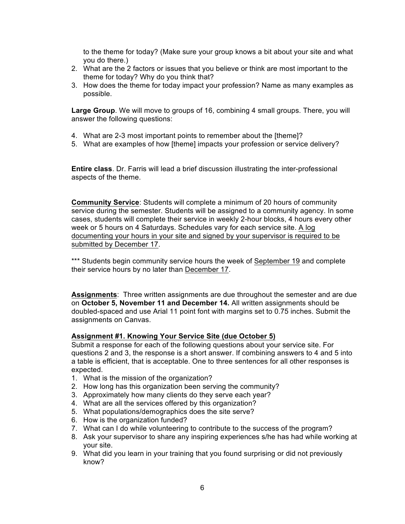to the theme for today? (Make sure your group knows a bit about your site and what you do there.)

- 2. What are the 2 factors or issues that you believe or think are most important to the theme for today? Why do you think that?
- 3. How does the theme for today impact your profession? Name as many examples as possible.

**Large Group**. We will move to groups of 16, combining 4 small groups. There, you will answer the following questions:

- 4. What are 2-3 most important points to remember about the [theme]?
- 5. What are examples of how [theme] impacts your profession or service delivery?

**Entire class**. Dr. Farris will lead a brief discussion illustrating the inter-professional aspects of the theme.

**Community Service**: Students will complete a minimum of 20 hours of community service during the semester. Students will be assigned to a community agency. In some cases, students will complete their service in weekly 2-hour blocks, 4 hours every other week or 5 hours on 4 Saturdays. Schedules vary for each service site. A log documenting your hours in your site and signed by your supervisor is required to be submitted by December 17.

\*\*\* Students begin community service hours the week of September 19 and complete their service hours by no later than December 17.

**Assignments**: Three written assignments are due throughout the semester and are due on **October 5, November 11 and December 14.** All written assignments should be doubled-spaced and use Arial 11 point font with margins set to 0.75 inches. Submit the assignments on Canvas.

#### **Assignment #1. Knowing Your Service Site (due October 5)**

Submit a response for each of the following questions about your service site. For questions 2 and 3, the response is a short answer. If combining answers to 4 and 5 into a table is efficient, that is acceptable. One to three sentences for all other responses is expected.

- 1. What is the mission of the organization?
- 2. How long has this organization been serving the community?
- 3. Approximately how many clients do they serve each year?
- 4. What are all the services offered by this organization?
- 5. What populations/demographics does the site serve?
- 6. How is the organization funded?
- 7. What can I do while volunteering to contribute to the success of the program?
- 8. Ask your supervisor to share any inspiring experiences s/he has had while working at your site.
- 9. What did you learn in your training that you found surprising or did not previously know?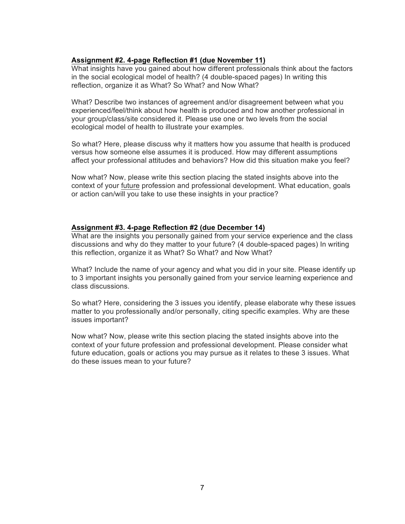### **Assignment #2. 4-page Reflection #1 (due November 11)**

What insights have you gained about how different professionals think about the factors in the social ecological model of health? (4 double-spaced pages) In writing this reflection, organize it as What? So What? and Now What?

What? Describe two instances of agreement and/or disagreement between what you experienced/feel/think about how health is produced and how another professional in your group/class/site considered it. Please use one or two levels from the social ecological model of health to illustrate your examples.

So what? Here, please discuss why it matters how you assume that health is produced versus how someone else assumes it is produced. How may different assumptions affect your professional attitudes and behaviors? How did this situation make you feel?

Now what? Now, please write this section placing the stated insights above into the context of your future profession and professional development. What education, goals or action can/will you take to use these insights in your practice?

### **Assignment #3. 4-page Reflection #2 (due December 14)**

What are the insights you personally gained from your service experience and the class discussions and why do they matter to your future? (4 double-spaced pages) In writing this reflection, organize it as What? So What? and Now What?

What? Include the name of your agency and what you did in your site. Please identify up to 3 important insights you personally gained from your service learning experience and class discussions.

So what? Here, considering the 3 issues you identify, please elaborate why these issues matter to you professionally and/or personally, citing specific examples. Why are these issues important?

Now what? Now, please write this section placing the stated insights above into the context of your future profession and professional development. Please consider what future education, goals or actions you may pursue as it relates to these 3 issues. What do these issues mean to your future?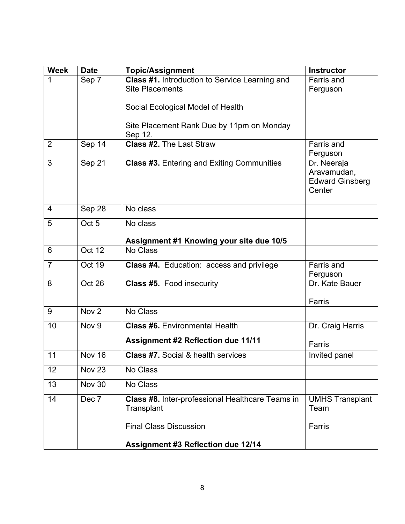| <b>Week</b>    | <b>Date</b>      | <b>Topic/Assignment</b>                           | <b>Instructor</b>       |
|----------------|------------------|---------------------------------------------------|-------------------------|
| 1              | Sep 7            | Class #1. Introduction to Service Learning and    | Farris and              |
|                |                  | <b>Site Placements</b>                            | Ferguson                |
|                |                  | Social Ecological Model of Health                 |                         |
|                |                  |                                                   |                         |
|                |                  | Site Placement Rank Due by 11pm on Monday         |                         |
|                |                  | Sep 12.                                           |                         |
| $\overline{2}$ | Sep 14           | <b>Class #2.</b> The Last Straw                   | Farris and              |
| 3              | Sep 21           | <b>Class #3. Entering and Exiting Communities</b> | Ferguson<br>Dr. Neeraja |
|                |                  |                                                   | Aravamudan,             |
|                |                  |                                                   | <b>Edward Ginsberg</b>  |
|                |                  |                                                   | Center                  |
|                |                  |                                                   |                         |
| 4              | Sep 28           | No class                                          |                         |
| 5              | Oct <sub>5</sub> | No class                                          |                         |
|                |                  | Assignment #1 Knowing your site due 10/5          |                         |
| 6              | Oct 12           | No Class                                          |                         |
| $\overline{7}$ | Oct 19           | Class #4. Education: access and privilege         | Farris and              |
|                |                  |                                                   | Ferguson                |
| 8              | Oct 26           | <b>Class #5. Food insecurity</b>                  | Dr. Kate Bauer          |
|                |                  |                                                   | Farris                  |
| 9              | Nov <sub>2</sub> | No Class                                          |                         |
| 10             | Nov <sub>9</sub> | <b>Class #6.</b> Environmental Health             | Dr. Craig Harris        |
|                |                  |                                                   |                         |
|                |                  | <b>Assignment #2 Reflection due 11/11</b>         | Farris                  |
| 11             | <b>Nov 16</b>    | <b>Class #7.</b> Social & health services         | Invited panel           |
| 12             | <b>Nov 23</b>    | No Class                                          |                         |
| 13             | <b>Nov 30</b>    | No Class                                          |                         |
| 14             | Dec 7            | Class #8. Inter-professional Healthcare Teams in  | <b>UMHS Transplant</b>  |
|                |                  | Transplant                                        | Team                    |
|                |                  | <b>Final Class Discussion</b>                     | Farris                  |
|                |                  |                                                   |                         |
|                |                  | <b>Assignment #3 Reflection due 12/14</b>         |                         |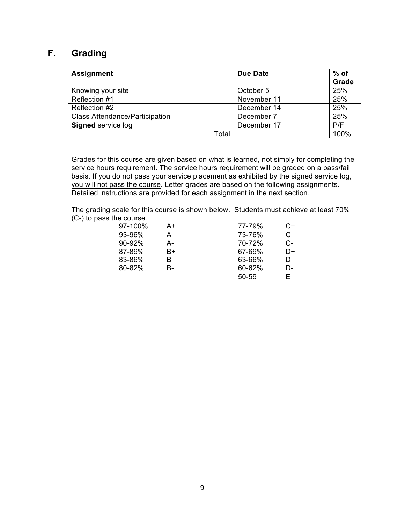## **F. Grading**

| <b>Assignment</b>                     | Due Date    | % of<br>Grade |
|---------------------------------------|-------------|---------------|
| Knowing your site                     | October 5   | 25%           |
| Reflection #1                         | November 11 | 25%           |
| Reflection #2                         | December 14 | 25%           |
| <b>Class Attendance/Participation</b> | December 7  | 25%           |
| <b>Signed service log</b>             | December 17 | P/F           |
| Total                                 |             | 100%          |

Grades for this course are given based on what is learned, not simply for completing the service hours requirement. The service hours requirement will be graded on a pass/fail basis. If you do not pass your service placement as exhibited by the signed service log, you will not pass the course. Letter grades are based on the following assignments. Detailed instructions are provided for each assignment in the next section.

The grading scale for this course is shown below. Students must achieve at least 70% (C-) to pass the course.

| 97-100% | A+ | 77-79% | C+ |
|---------|----|--------|----|
| 93-96%  | A  | 73-76% | С  |
| 90-92%  | А- | 70-72% | C- |
| 87-89%  | B+ | 67-69% | D+ |
| 83-86%  | R  | 63-66% | D  |
| 80-82%  | В- | 60-62% | D- |
|         |    | 50-59  | F. |